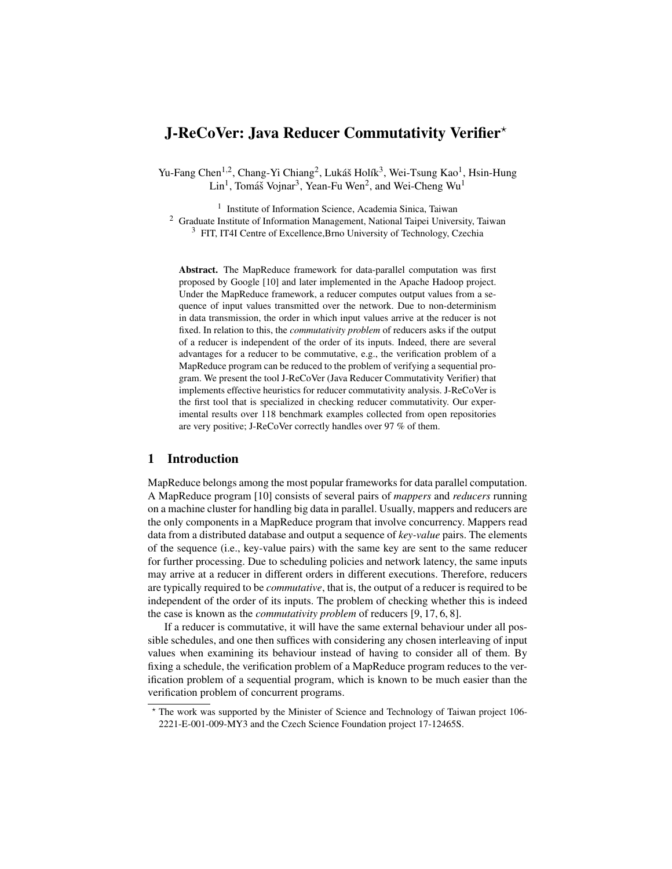# **J-ReCoVer: Java Reducer Commutativity Verifier** $\star$

Yu-Fang Chen<sup>1,2</sup>, Chang-Yi Chiang<sup>2</sup>, Lukáš Holík<sup>3</sup>, Wei-Tsung Kao<sup>1</sup>, Hsin-Hung Lin<sup>1</sup>, Tomáš Vojnar<sup>3</sup>, Yean-Fu Wen<sup>2</sup>, and Wei-Cheng Wu<sup>1</sup>

<sup>1</sup> Institute of Information Science, Academia Sinica, Taiwan

<sup>2</sup> Graduate Institute of Information Management, National Taipei University, Taiwan <sup>3</sup> FIT, IT4I Centre of Excellence, Brno University of Technology, Czechia

Abstract. The MapReduce framework for data-parallel computation was first proposed by Google [10] and later implemented in the Apache Hadoop project. Under the MapReduce framework, a reducer computes output values from a sequence of input values transmitted over the network. Due to non-determinism in data transmission, the order in which input values arrive at the reducer is not fixed. In relation to this, the *commutativity problem* of reducers asks if the output of a reducer is independent of the order of its inputs. Indeed, there are several advantages for a reducer to be commutative, e.g., the verification problem of a MapReduce program can be reduced to the problem of verifying a sequential program. We present the tool J-ReCoVer (Java Reducer Commutativity Verifier) that implements effective heuristics for reducer commutativity analysis. J-ReCoVer is the first tool that is specialized in checking reducer commutativity. Our experimental results over 118 benchmark examples collected from open repositories are very positive; J-ReCoVer correctly handles over 97 % of them.

# 1 Introduction

MapReduce belongs among the most popular frameworks for data parallel computation. A MapReduce program [10] consists of several pairs of *mappers* and *reducers* running on a machine cluster for handling big data in parallel. Usually, mappers and reducers are the only components in a MapReduce program that involve concurrency. Mappers read data from a distributed database and output a sequence of *key-value* pairs. The elements of the sequence (i.e., key-value pairs) with the same key are sent to the same reducer for further processing. Due to scheduling policies and network latency, the same inputs may arrive at a reducer in different orders in different executions. Therefore, reducers are typically required to be *commutative*, that is, the output of a reducer is required to be independent of the order of its inputs. The problem of checking whether this is indeed the case is known as the *commutativity problem* of reducers [9, 17, 6, 8].

If a reducer is commutative, it will have the same external behaviour under all possible schedules, and one then suffices with considering any chosen interleaving of input values when examining its behaviour instead of having to consider all of them. By fixing a schedule, the verification problem of a MapReduce program reduces to the verification problem of a sequential program, which is known to be much easier than the verification problem of concurrent programs.

<sup>?</sup> The work was supported by the Minister of Science and Technology of Taiwan project 106- 2221-E-001-009-MY3 and the Czech Science Foundation project 17-12465S.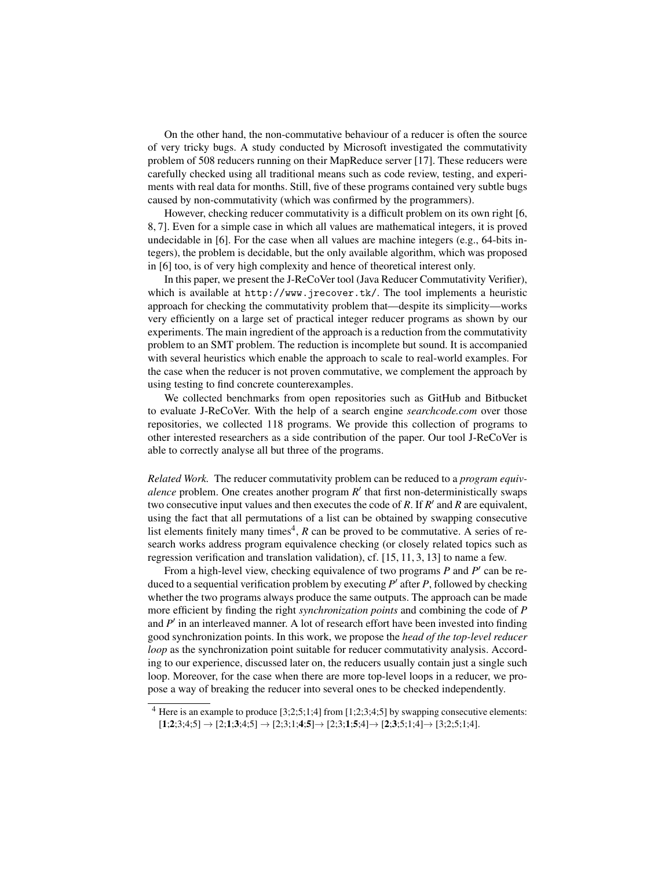On the other hand, the non-commutative behaviour of a reducer is often the source of very tricky bugs. A study conducted by Microsoft investigated the commutativity problem of 508 reducers running on their MapReduce server [17]. These reducers were carefully checked using all traditional means such as code review, testing, and experiments with real data for months. Still, five of these programs contained very subtle bugs caused by non-commutativity (which was confirmed by the programmers).

However, checking reducer commutativity is a difficult problem on its own right [6, 8, 7]. Even for a simple case in which all values are mathematical integers, it is proved undecidable in [6]. For the case when all values are machine integers (e.g., 64-bits integers), the problem is decidable, but the only available algorithm, which was proposed in [6] too, is of very high complexity and hence of theoretical interest only.

In this paper, we present the J-ReCoVer tool (Java Reducer Commutativity Verifier), which is available at http://www.jrecover.tk/. The tool implements a heuristic approach for checking the commutativity problem that—despite its simplicity—works very efficiently on a large set of practical integer reducer programs as shown by our experiments. The main ingredient of the approach is a reduction from the commutativity problem to an SMT problem. The reduction is incomplete but sound. It is accompanied with several heuristics which enable the approach to scale to real-world examples. For the case when the reducer is not proven commutative, we complement the approach by using testing to find concrete counterexamples.

We collected benchmarks from open repositories such as GitHub and Bitbucket to evaluate J-ReCoVer. With the help of a search engine *searchcode.com* over those repositories, we collected 118 programs. We provide this collection of programs to other interested researchers as a side contribution of the paper. Our tool J-ReCoVer is able to correctly analyse all but three of the programs.

*Related Work.* The reducer commutativity problem can be reduced to a *program equiv*alence problem. One creates another program R' that first non-deterministically swaps two consecutive input values and then executes the code of  $R$ . If  $R'$  and  $R$  are equivalent, using the fact that all permutations of a list can be obtained by swapping consecutive list elements finitely many times<sup>4</sup>,  $R$  can be proved to be commutative. A series of research works address program equivalence checking (or closely related topics such as regression verification and translation validation), cf. [15, 11, 3, 13] to name a few.

From a high-level view, checking equivalence of two programs *P* and *P'* can be reduced to a sequential verification problem by executing  $P'$  after  $P$ , followed by checking whether the two programs always produce the same outputs. The approach can be made more efficient by finding the right *synchronization points* and combining the code of *P* and  $P'$  in an interleaved manner. A lot of research effort have been invested into finding good synchronization points. In this work, we propose the *head of the top-level reducer loop* as the synchronization point suitable for reducer commutativity analysis. According to our experience, discussed later on, the reducers usually contain just a single such loop. Moreover, for the case when there are more top-level loops in a reducer, we propose a way of breaking the reducer into several ones to be checked independently.

<sup>4</sup> Here is an example to produce [3;2;5;1;4] from [1;2;3;4;5] by swapping consecutive elements:  $[1;2;3;4;5] \rightarrow [2;1;3;4;5] \rightarrow [2;3;1;4;5] \rightarrow [2;3;1;5;4] \rightarrow [2;3;5;1;4] \rightarrow [3;2;5;1;4]$ .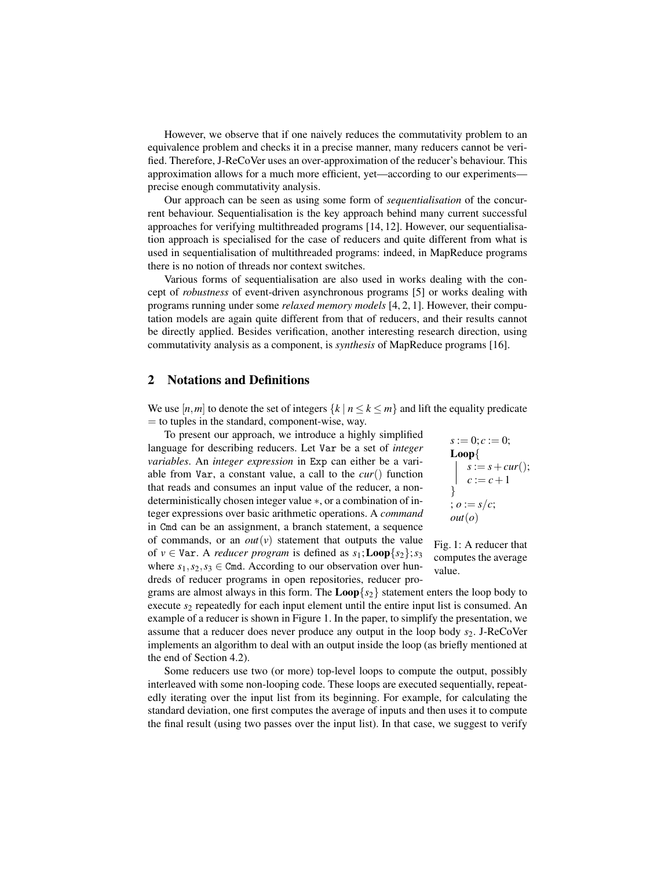However, we observe that if one naively reduces the commutativity problem to an equivalence problem and checks it in a precise manner, many reducers cannot be verified. Therefore, J-ReCoVer uses an over-approximation of the reducer's behaviour. This approximation allows for a much more efficient, yet—according to our experiments precise enough commutativity analysis.

Our approach can be seen as using some form of *sequentialisation* of the concurrent behaviour. Sequentialisation is the key approach behind many current successful approaches for verifying multithreaded programs [14, 12]. However, our sequentialisation approach is specialised for the case of reducers and quite different from what is used in sequentialisation of multithreaded programs: indeed, in MapReduce programs there is no notion of threads nor context switches.

Various forms of sequentialisation are also used in works dealing with the concept of *robustness* of event-driven asynchronous programs [5] or works dealing with programs running under some *relaxed memory models* [4, 2, 1]. However, their computation models are again quite different from that of reducers, and their results cannot be directly applied. Besides verification, another interesting research direction, using commutativity analysis as a component, is *synthesis* of MapReduce programs [16].

# 2 Notations and Definitions

We use  $[n,m]$  to denote the set of integers  $\{k \mid n \leq k \leq m\}$  and lift the equality predicate  $=$  to tuples in the standard, component-wise, way.

To present our approach, we introduce a highly simplified language for describing reducers. Let Var be a set of *integer variables*. An *integer expression* in Exp can either be a variable from Var, a constant value, a call to the *cur*() function that reads and consumes an input value of the reducer, a nondeterministically chosen integer value ∗, or a combination of integer expressions over basic arithmetic operations. A *command* in Cmd can be an assignment, a branch statement, a sequence of commands, or an  $out(v)$  statement that outputs the value of  $v \in \text{Var}$ . A *reducer program* is defined as  $s_1$ ; **Loop** $\{s_2\}$ ;  $s_3$ where  $s_1, s_2, s_3 \in \text{Cmd}$ . According to our observation over hundreds of reducer programs in open repositories, reducer pro-

$$
s := 0; c := 0;
$$
  
\n**Loop**\n
$$
\begin{cases}\ns := s + cur(); \\
c := c + 1 \\
\end{cases}
$$
  
\n
$$
\therefore o := s/c;
$$
  
\n
$$
out(o)
$$

Fig. 1: A reducer that computes the average value.

grams are almost always in this form. The  $\text{Loop}\{s_2\}$  statement enters the loop body to execute  $s_2$  repeatedly for each input element until the entire input list is consumed. An example of a reducer is shown in Figure 1. In the paper, to simplify the presentation, we assume that a reducer does never produce any output in the loop body *s*2. J-ReCoVer implements an algorithm to deal with an output inside the loop (as briefly mentioned at the end of Section 4.2).

Some reducers use two (or more) top-level loops to compute the output, possibly interleaved with some non-looping code. These loops are executed sequentially, repeatedly iterating over the input list from its beginning. For example, for calculating the standard deviation, one first computes the average of inputs and then uses it to compute the final result (using two passes over the input list). In that case, we suggest to verify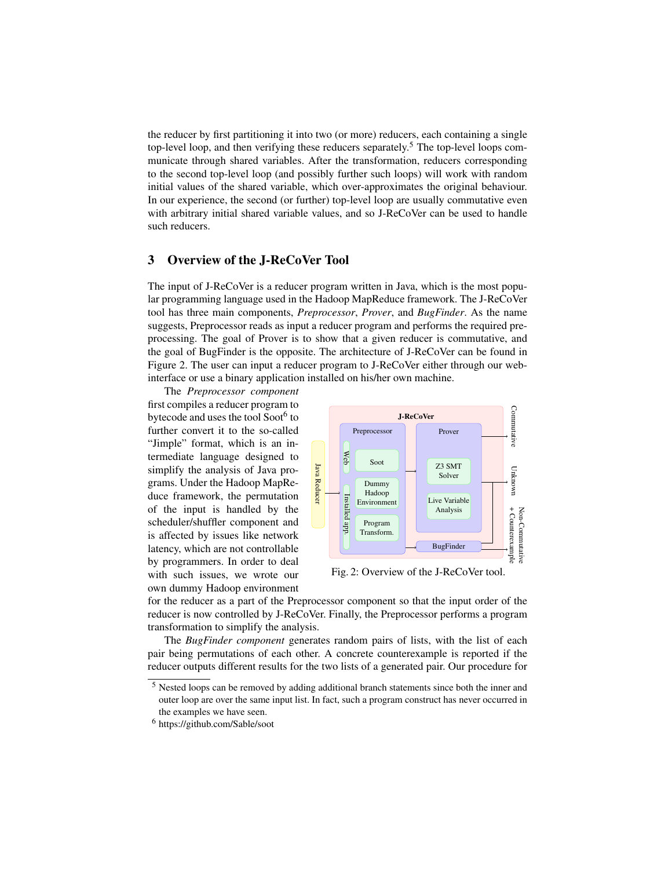the reducer by first partitioning it into two (or more) reducers, each containing a single top-level loop, and then verifying these reducers separately.<sup>5</sup> The top-level loops communicate through shared variables. After the transformation, reducers corresponding to the second top-level loop (and possibly further such loops) will work with random initial values of the shared variable, which over-approximates the original behaviour. In our experience, the second (or further) top-level loop are usually commutative even with arbitrary initial shared variable values, and so J-ReCoVer can be used to handle such reducers.

## 3 Overview of the J-ReCoVer Tool

The input of J-ReCoVer is a reducer program written in Java, which is the most popular programming language used in the Hadoop MapReduce framework. The J-ReCoVer tool has three main components, *Preprocessor*, *Prover*, and *BugFinder*. As the name suggests, Preprocessor reads as input a reducer program and performs the required preprocessing. The goal of Prover is to show that a given reducer is commutative, and the goal of BugFinder is the opposite. The architecture of J-ReCoVer can be found in Figure 2. The user can input a reducer program to J-ReCoVer either through our webinterface or use a binary application installed on his/her own machine.

The *Preprocessor component* first compiles a reducer program to bytecode and uses the tool Soot<sup>6</sup> to further convert it to the so-called "Jimple" format, which is an intermediate language designed to simplify the analysis of Java programs. Under the Hadoop MapReduce framework, the permutation of the input is handled by the scheduler/shuffler component and is affected by issues like network latency, which are not controllable by programmers. In order to deal with such issues, we wrote our own dummy Hadoop environment



Fig. 2: Overview of the J-ReCoVer tool.

for the reducer as a part of the Preprocessor component so that the input order of the reducer is now controlled by J-ReCoVer. Finally, the Preprocessor performs a program transformation to simplify the analysis.

The *BugFinder component* generates random pairs of lists, with the list of each pair being permutations of each other. A concrete counterexample is reported if the reducer outputs different results for the two lists of a generated pair. Our procedure for

<sup>5</sup> Nested loops can be removed by adding additional branch statements since both the inner and outer loop are over the same input list. In fact, such a program construct has never occurred in the examples we have seen.

<sup>6</sup> https://github.com/Sable/soot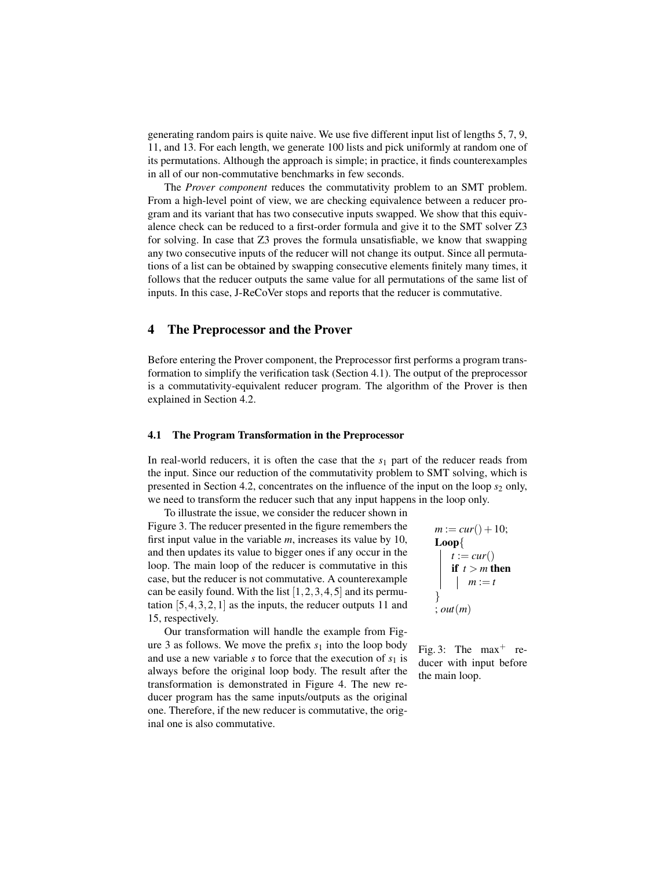generating random pairs is quite naive. We use five different input list of lengths 5, 7, 9, 11, and 13. For each length, we generate 100 lists and pick uniformly at random one of its permutations. Although the approach is simple; in practice, it finds counterexamples in all of our non-commutative benchmarks in few seconds.

The *Prover component* reduces the commutativity problem to an SMT problem. From a high-level point of view, we are checking equivalence between a reducer program and its variant that has two consecutive inputs swapped. We show that this equivalence check can be reduced to a first-order formula and give it to the SMT solver Z3 for solving. In case that Z3 proves the formula unsatisfiable, we know that swapping any two consecutive inputs of the reducer will not change its output. Since all permutations of a list can be obtained by swapping consecutive elements finitely many times, it follows that the reducer outputs the same value for all permutations of the same list of inputs. In this case, J-ReCoVer stops and reports that the reducer is commutative.

### 4 The Preprocessor and the Prover

Before entering the Prover component, the Preprocessor first performs a program transformation to simplify the verification task (Section 4.1). The output of the preprocessor is a commutativity-equivalent reducer program. The algorithm of the Prover is then explained in Section 4.2.

#### 4.1 The Program Transformation in the Preprocessor

In real-world reducers, it is often the case that the  $s_1$  part of the reducer reads from the input. Since our reduction of the commutativity problem to SMT solving, which is presented in Section 4.2, concentrates on the influence of the input on the loop  $s_2$  only, we need to transform the reducer such that any input happens in the loop only.

To illustrate the issue, we consider the reducer shown in Figure 3. The reducer presented in the figure remembers the first input value in the variable *m*, increases its value by 10, and then updates its value to bigger ones if any occur in the loop. The main loop of the reducer is commutative in this case, but the reducer is not commutative. A counterexample can be easily found. With the list  $[1,2,3,4,5]$  and its permutation [5,4,3,2,1] as the inputs, the reducer outputs 11 and 15, respectively.

Our transformation will handle the example from Figure 3 as follows. We move the prefix  $s_1$  into the loop body and use a new variable  $s$  to force that the execution of  $s_1$  is always before the original loop body. The result after the transformation is demonstrated in Figure 4. The new reducer program has the same inputs/outputs as the original one. Therefore, if the new reducer is commutative, the original one is also commutative.

$$
m := cur() + 10;
$$
  
\n**Loop**  
\n
$$
t := cur()
$$
  
\n**if**  $t > m$  then  
\n
$$
m := t
$$
  
\n
$$
; out(m)
$$

Fig. 3: The  $max<sup>+</sup>$  reducer with input before the main loop.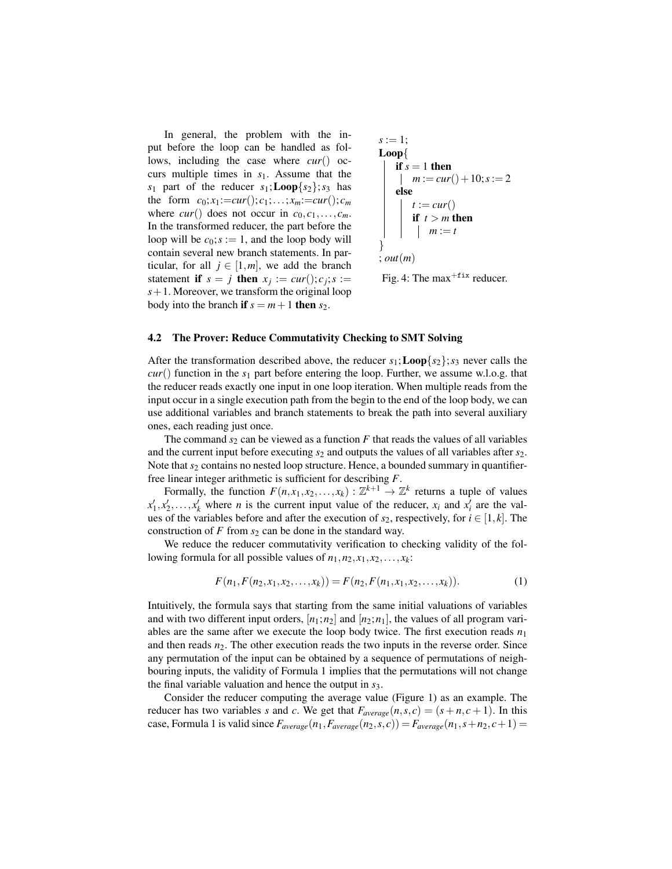In general, the problem with the input before the loop can be handled as follows, including the case where *cur*() occurs multiple times in *s*1. Assume that the *s*<sub>1</sub> part of the reducer *s*<sub>1</sub>; **Loop**{*s*<sub>2</sub>}; *s*<sub>3</sub> has the form  $c_0$ ;  $x_1$ :=*cur*();  $c_1$ ;...;  $x_m$ :=*cur*();  $c_m$ where *cur*() does not occur in  $c_0, c_1, \ldots, c_m$ . In the transformed reducer, the part before the loop will be  $c_0$ ;  $s := 1$ , and the loop body will contain several new branch statements. In particular, for all  $j \in [1,m]$ , we add the branch statement if  $s = j$  then  $x_j := cur(j); c_j; s :=$ *s*+1. Moreover, we transform the original loop body into the branch **if**  $s = m + 1$  **then**  $s_2$ .

$$
s := 1;
$$
\n
$$
Loop{\n\begin{cases}\n\text{if } s = 1 \text{ then} \\
\mid m := cur() + 10; s := 2\n\end{cases}}\n\quad\n\text{else}\n\quad\n\begin{cases}\nt := cur() \\
\text{if } t > m \text{ then} \\
\mid m := t\n\end{cases}\n\quad\n\text{out}(m)
$$

Fig. 4: The max<sup> $+$ fix</sup> reducer.

#### 4.2 The Prover: Reduce Commutativity Checking to SMT Solving

After the transformation described above, the reducer  $s_1$ ; **Loop**{ $s_2$ };  $s_3$  never calls the *cur*() function in the *s*<sup>1</sup> part before entering the loop. Further, we assume w.l.o.g. that the reducer reads exactly one input in one loop iteration. When multiple reads from the input occur in a single execution path from the begin to the end of the loop body, we can use additional variables and branch statements to break the path into several auxiliary ones, each reading just once.

The command  $s_2$  can be viewed as a function  $F$  that reads the values of all variables and the current input before executing  $s_2$  and outputs the values of all variables after  $s_2$ . Note that *s*<sup>2</sup> contains no nested loop structure. Hence, a bounded summary in quantifierfree linear integer arithmetic is sufficient for describing *F*.

Formally, the function  $F(n, x_1, x_2,..., x_k) : \mathbb{Z}^{k+1} \to \mathbb{Z}^k$  returns a tuple of values  $x'_1, x'_2, \ldots, x'_k$  where *n* is the current input value of the reducer,  $x_i$  and  $x'_i$  are the values of the variables before and after the execution of  $s_2$ , respectively, for  $i \in [1, k]$ . The construction of *F* from *s*<sup>2</sup> can be done in the standard way.

We reduce the reducer commutativity verification to checking validity of the following formula for all possible values of  $n_1, n_2, x_1, x_2, \ldots, x_k$ :

$$
F(n_1, F(n_2, x_1, x_2, \dots, x_k)) = F(n_2, F(n_1, x_1, x_2, \dots, x_k)).
$$
\n(1)

Intuitively, the formula says that starting from the same initial valuations of variables and with two different input orders,  $[n_1; n_2]$  and  $[n_2; n_1]$ , the values of all program variables are the same after we execute the loop body twice. The first execution reads  $n_1$ and then reads  $n_2$ . The other execution reads the two inputs in the reverse order. Since any permutation of the input can be obtained by a sequence of permutations of neighbouring inputs, the validity of Formula 1 implies that the permutations will not change the final variable valuation and hence the output in *s*3.

Consider the reducer computing the average value (Figure 1) as an example. The reducer has two variables *s* and *c*. We get that  $F_{average}(n, s, c) = (s + n, c + 1)$ . In this case, Formula 1 is valid since  $F_{average}(n_1, F_{average}(n_2, s, c)) = F_{average}(n_1, s+n_2, c+1)$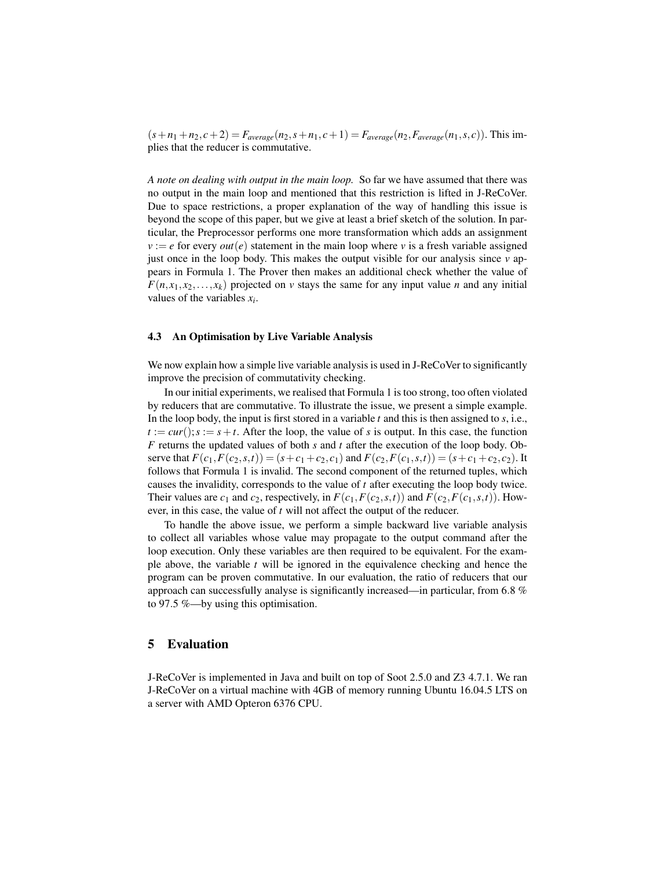$(s+n_1+n_2, c+2) = F_{average}(n_2, s+n_1, c+1) = F_{average}(n_2, F_{average}(n_1, s, c))$ . This implies that the reducer is commutative.

*A note on dealing with output in the main loop.* So far we have assumed that there was no output in the main loop and mentioned that this restriction is lifted in J-ReCoVer. Due to space restrictions, a proper explanation of the way of handling this issue is beyond the scope of this paper, but we give at least a brief sketch of the solution. In particular, the Preprocessor performs one more transformation which adds an assignment  $v := e$  for every *out*(*e*) statement in the main loop where *v* is a fresh variable assigned just once in the loop body. This makes the output visible for our analysis since *v* appears in Formula 1. The Prover then makes an additional check whether the value of  $F(n, x_1, x_2, \ldots, x_k)$  projected on *v* stays the same for any input value *n* and any initial values of the variables *x<sup>i</sup>* .

#### 4.3 An Optimisation by Live Variable Analysis

We now explain how a simple live variable analysis is used in J-ReCoVer to significantly improve the precision of commutativity checking.

In our initial experiments, we realised that Formula 1 is too strong, too often violated by reducers that are commutative. To illustrate the issue, we present a simple example. In the loop body, the input is first stored in a variable *t* and this is then assigned to *s*, i.e.,  $t := cur($ ;  $s := s + t$ . After the loop, the value of *s* is output. In this case, the function *F* returns the updated values of both *s* and *t* after the execution of the loop body. Observe that  $F(c_1, F(c_2, s, t)) = (s + c_1 + c_2, c_1)$  and  $F(c_2, F(c_1, s, t)) = (s + c_1 + c_2, c_2)$ . It follows that Formula 1 is invalid. The second component of the returned tuples, which causes the invalidity, corresponds to the value of *t* after executing the loop body twice. Their values are  $c_1$  and  $c_2$ , respectively, in  $F(c_1, F(c_2, s, t))$  and  $F(c_2, F(c_1, s, t))$ . However, in this case, the value of *t* will not affect the output of the reducer.

To handle the above issue, we perform a simple backward live variable analysis to collect all variables whose value may propagate to the output command after the loop execution. Only these variables are then required to be equivalent. For the example above, the variable *t* will be ignored in the equivalence checking and hence the program can be proven commutative. In our evaluation, the ratio of reducers that our approach can successfully analyse is significantly increased—in particular, from 6.8 % to 97.5 %—by using this optimisation.

### 5 Evaluation

J-ReCoVer is implemented in Java and built on top of Soot 2.5.0 and Z3 4.7.1. We ran J-ReCoVer on a virtual machine with 4GB of memory running Ubuntu 16.04.5 LTS on a server with AMD Opteron 6376 CPU.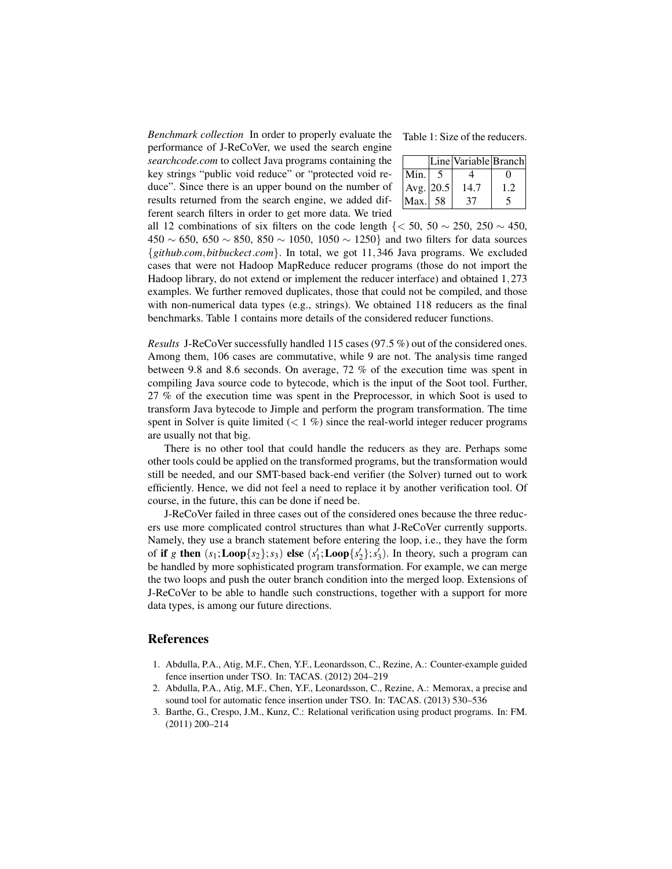*Benchmark collection* In order to properly evaluate the performance of J-ReCoVer, we used the search engine *searchcode.com* to collect Java programs containing the key strings "public void reduce" or "protected void reduce". Since there is an upper bound on the number of results returned from the search engine, we added different search filters in order to get more data. We tried

#### Table 1: Size of the reducers.

|         |               | Line Variable Branch |  |
|---------|---------------|----------------------|--|
| Min.    |               |                      |  |
|         | Avg. $ 20.5 $ | 14.7                 |  |
| Max. 58 |               | 37                   |  |

all 12 combinations of six filters on the code length  $\{\leq 50, 50 \sim 250, 250 \sim 450, \ldots \}$ 450 ~ 650, 650 ~ 850, 850 ~ 1050, 1050 ~ 1250} and two filters for data sources {*github*.*com*,*bitbuckect*.*com*}. In total, we got 11,346 Java programs. We excluded cases that were not Hadoop MapReduce reducer programs (those do not import the Hadoop library, do not extend or implement the reducer interface) and obtained 1,273 examples. We further removed duplicates, those that could not be compiled, and those with non-numerical data types (e.g., strings). We obtained 118 reducers as the final benchmarks. Table 1 contains more details of the considered reducer functions.

*Results* J-ReCoVer successfully handled 115 cases (97.5 %) out of the considered ones. Among them, 106 cases are commutative, while 9 are not. The analysis time ranged between 9.8 and 8.6 seconds. On average, 72 % of the execution time was spent in compiling Java source code to bytecode, which is the input of the Soot tool. Further, 27 % of the execution time was spent in the Preprocessor, in which Soot is used to transform Java bytecode to Jimple and perform the program transformation. The time spent in Solver is quite limited  $(< 1 \%)$  since the real-world integer reducer programs are usually not that big.

There is no other tool that could handle the reducers as they are. Perhaps some other tools could be applied on the transformed programs, but the transformation would still be needed, and our SMT-based back-end verifier (the Solver) turned out to work efficiently. Hence, we did not feel a need to replace it by another verification tool. Of course, in the future, this can be done if need be.

J-ReCoVer failed in three cases out of the considered ones because the three reducers use more complicated control structures than what J-ReCoVer currently supports. Namely, they use a branch statement before entering the loop, i.e., they have the form of if *g* then  $(s_1; \text{Loop}\{s_2\}; s_3)$  else  $(s'_1; \text{Loop}\{s'_2\}; s'_3)$ . In theory, such a program can be handled by more sophisticated program transformation. For example, we can merge the two loops and push the outer branch condition into the merged loop. Extensions of J-ReCoVer to be able to handle such constructions, together with a support for more data types, is among our future directions.

### References

- 1. Abdulla, P.A., Atig, M.F., Chen, Y.F., Leonardsson, C., Rezine, A.: Counter-example guided fence insertion under TSO. In: TACAS. (2012) 204–219
- 2. Abdulla, P.A., Atig, M.F., Chen, Y.F., Leonardsson, C., Rezine, A.: Memorax, a precise and sound tool for automatic fence insertion under TSO. In: TACAS. (2013) 530–536
- 3. Barthe, G., Crespo, J.M., Kunz, C.: Relational verification using product programs. In: FM. (2011) 200–214